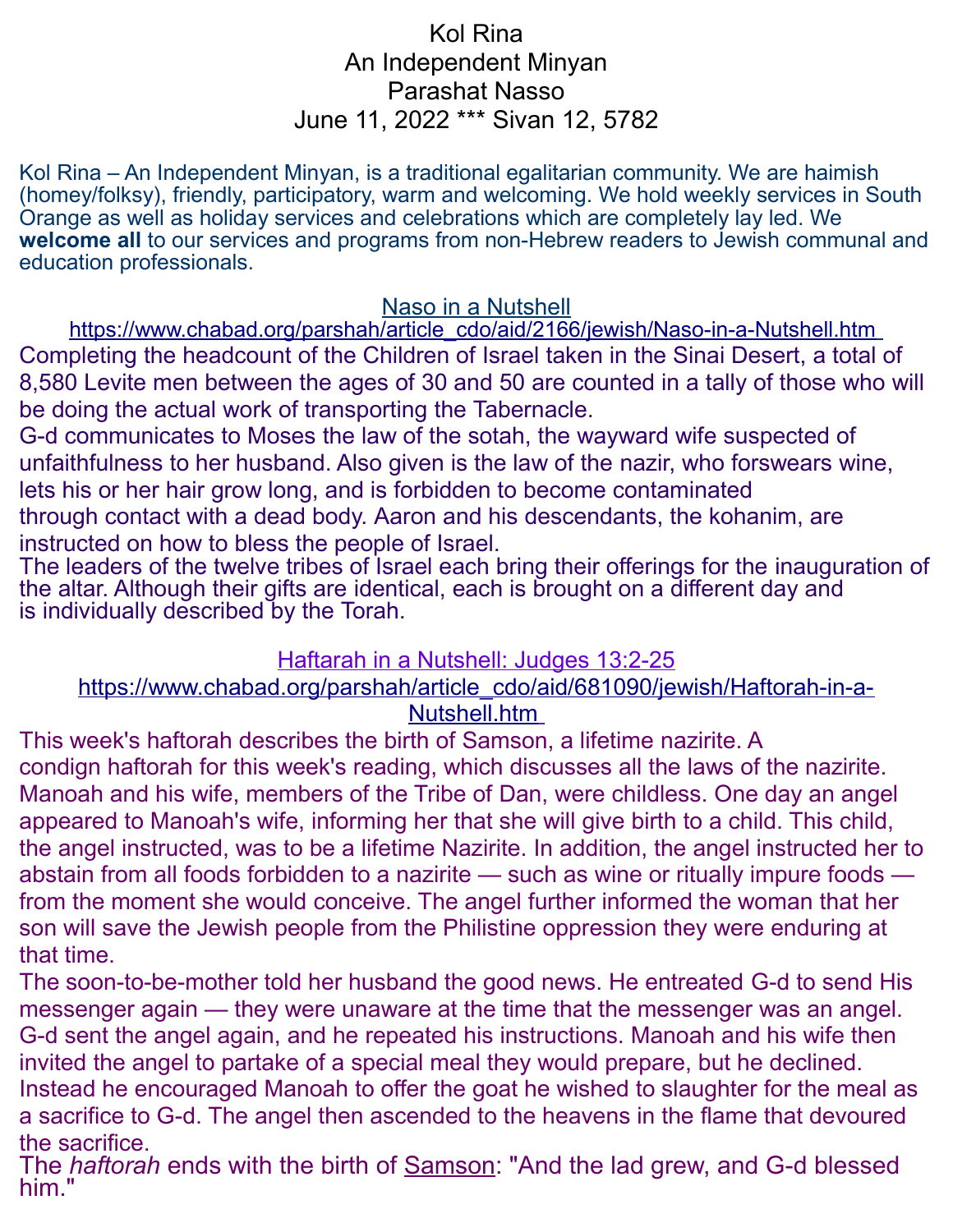### Kol Rina An Independent Minyan Parashat Nasso June 11, 2022 \*\*\* Sivan 12, 5782

Kol Rina – An Independent Minyan, is a traditional egalitarian community. We are haimish (homey/folksy), friendly, participatory, warm and welcoming. We hold weekly services in South Orange as well as holiday services and celebrations which are completely lay led. We **welcome all** to our services and programs from non-Hebrew readers to Jewish communal and education professionals.

#### Naso in a Nutshell

https://www.chabad.org/parshah/article\_cdo/aid/2166/jewish/Naso-in-a-Nutshell.htm Completing the headcount of the Children of Israel taken in the Sinai Desert, a total of 8,580 Levite men between the ages of 30 and 50 are counted in a tally of those who will be doing the actual work of transporting the Tabernacle.

G-d communicates to Moses the law of the sotah, the wayward wife suspected of unfaithfulness to her husband. Also given is the law of the nazir, who forswears wine, lets his or her hair grow long, and is forbidden to become contaminated through contact with a dead body. Aaron and his descendants, the kohanim, are instructed on how to bless the people of Israel.

The leaders of the twelve tribes of Israel each bring their offerings for the inauguration of the altar. Although their gifts are identical, each is brought on a different day and is individually described by the Torah.

#### Haftarah in a Nutshell: Judges 13:2-25

#### [https://www.chabad.org/parshah/article\\_cdo/aid/681090/jewish/Haftorah-in-a-](https://www.chabad.org/parshah/article_cdo/aid/681090/jewish/Haftorah-in-a-Nutshell.htm)  [Nutshell.htm](https://www.chabad.org/parshah/article_cdo/aid/681090/jewish/Haftorah-in-a-Nutshell.htm)

This week's haftorah describes the birth of Samson, a lifetime nazirite. A condign haftorah for this week's reading, which discusses all the laws of the nazirite. Manoah and his wife, members of the Tribe of Dan, were childless. One day an angel appeared to Manoah's wife, informing her that she will give birth to a child. This child, the angel instructed, was to be a lifetime Nazirite. In addition, the angel instructed her to abstain from all foods forbidden to a nazirite — such as wine or ritually impure foods from the moment she would conceive. The angel further informed the woman that her son will save the Jewish people from the Philistine oppression they were enduring at that time.

The soon-to-be-mother told her husband the good news. He entreated G-d to send His messenger again — they were unaware at the time that the messenger was an angel. G-d sent the angel again, and he repeated his instructions. Manoah and his wife then invited the angel to partake of a special meal they would prepare, but he declined. Instead he encouraged Manoah to offer the goat he wished to slaughter for the meal as a sacrifice to G-d. The angel then ascended to the heavens in the flame that devoured the sacrifice.

The *haftorah* ends with the birth of [Samson:](https://www.chabad.org/library/article_cdo/aid/464035/jewish/Samson.htm) "And the lad grew, and G-d blessed him."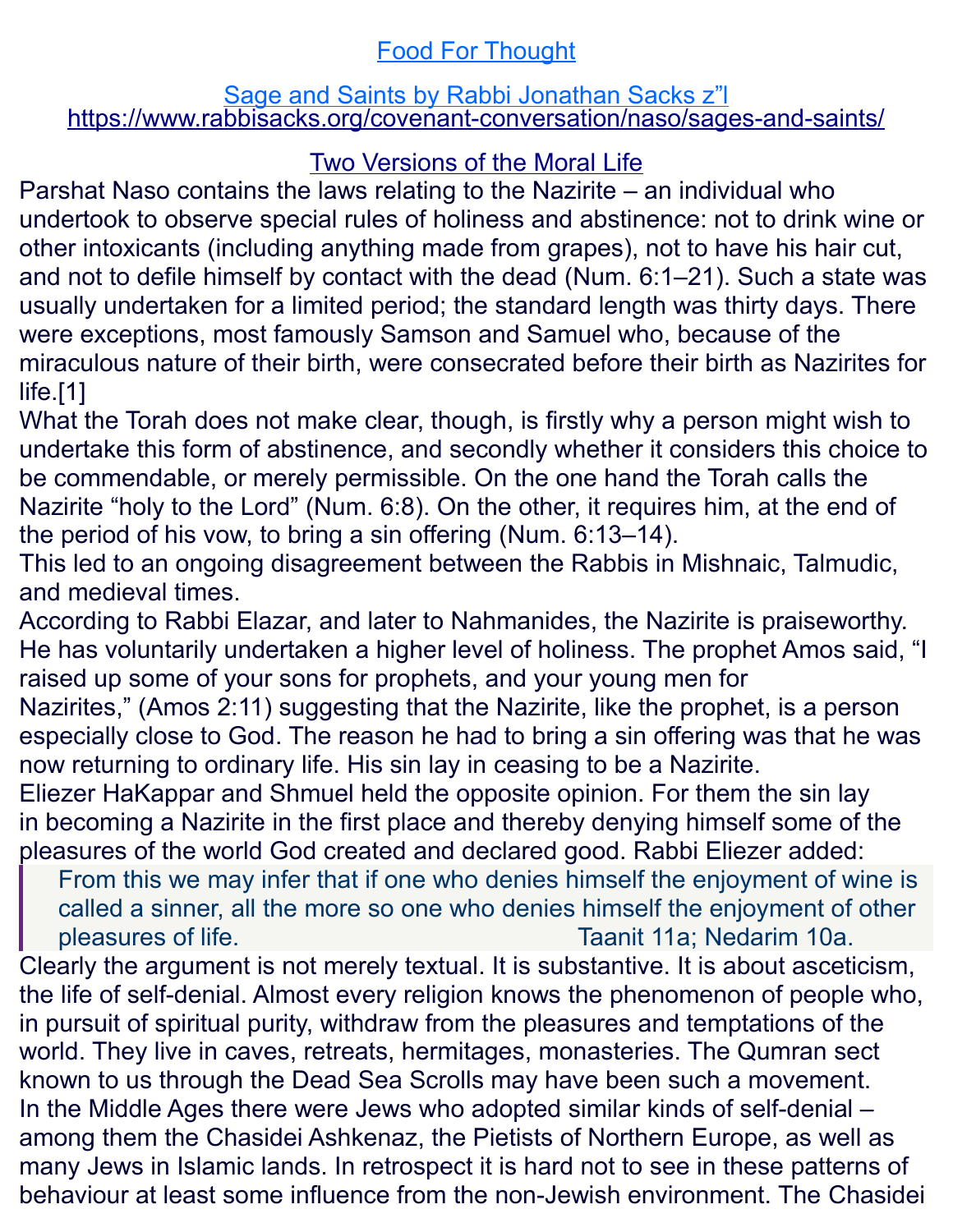# Food For Thought

#### **Sage and Saints by Rabbi Jonathan Sacks z"I** <https://www.rabbisacks.org/covenant-conversation/naso/sages-and-saints/>

# Two Versions of the Moral Life

Parshat Naso contains the laws relating to the Nazirite – an individual who undertook to observe special rules of [holiness](https://www.rabbisacks.org/covenant-conversation/tetzaveh/the-ethic-of-holiness/) and abstinence: not to drink wine or other intoxicants (including anything made from grapes), not to have his hair cut, and not to defile himself by contact with the dead [\(Num. 6:1–21\)](https://www.sefaria.org/Numbers.6.1-21?lang=he-en&utm_source=rabbisacks.org&utm_medium=sefaria_linker). Such a state was usually undertaken for a limited period; the standard length was thirty days. There were exceptions, most famously Samson and Samuel who, because of the miraculous nature of their birth, were consecrated before their birth as Nazirites for life[.\[1\]](https://www.rabbisacks.org/covenant-conversation/naso/sages-and-saints/#_ftn1)

What the Torah does not make clear, though, is firstly why a person might wish to undertake this form of abstinence, and secondly whether it considers this choice to be commendable, or merely permissible. On the one hand the Torah calls the Nazirite "holy to the Lord" [\(Num. 6:8\)](https://www.sefaria.org/Numbers.6.8?lang=he-en&utm_source=rabbisacks.org&utm_medium=sefaria_linker). On the other, it requires him, at the end of the period of his vow, to bring a sin offering [\(Num. 6:13–14\)](https://www.sefaria.org/Numbers.6.13-14?lang=he-en&utm_source=rabbisacks.org&utm_medium=sefaria_linker).

This led to an ongoing disagreement between the Rabbis in Mishnaic, Talmudic, and medieval times.

According to Rabbi Elazar, and later to Nahmanides, the Nazirite is praiseworthy. He has voluntarily undertaken a higher level of holiness. The prophet Amos said, "I raised up some of your sons for prophets, and your young men for Nazirites," [\(Amos 2:11\)](https://www.sefaria.org/Amos.2.11?lang=he-en&utm_source=rabbisacks.org&utm_medium=sefaria_linker) suggesting that the Nazirite, like the prophet, is a person especially close to God. The reason he had to bring a sin offering was that he was now returning to ordinary life. His sin lay in ceasing to be a Nazirite. Eliezer HaKappar and Shmuel held the opposite opinion. For them the sin lay

in becoming a Nazirite in the first place and thereby denying himself some of the pleasures of the world God created and declared good. Rabbi Eliezer added:

From this we may infer that if one who denies himself the enjoyment of wine is called a sinner, all the more so one who denies himself the enjoyment of other pleasures of life. [Taanit 11a;](https://www.sefaria.org/Taanit.11a?lang=he-en&utm_source=rabbisacks.org&utm_medium=sefaria_linker) [Nedarim 10a.](https://www.sefaria.org/Nedarim.10a?lang=he-en&utm_source=rabbisacks.org&utm_medium=sefaria_linker)

Clearly the argument is not merely textual. It is substantive. It is about asceticism, the life of self-denial. Almost every religion knows the phenomenon of people who, in pursuit of spiritual purity, withdraw from the pleasures and temptations of the world. They live in caves, retreats, hermitages, monasteries. The Qumran sect known to us through the Dead Sea Scrolls may have been such a movement. In the Middle Ages there were Jews who adopted similar kinds of self-denial – among them the Chasidei Ashkenaz, the Pietists of Northern Europe, as well as many Jews in Islamic lands. In retrospect it is hard not to see in these patterns of behaviour at least some influence from the non-Jewish environment. The Chasidei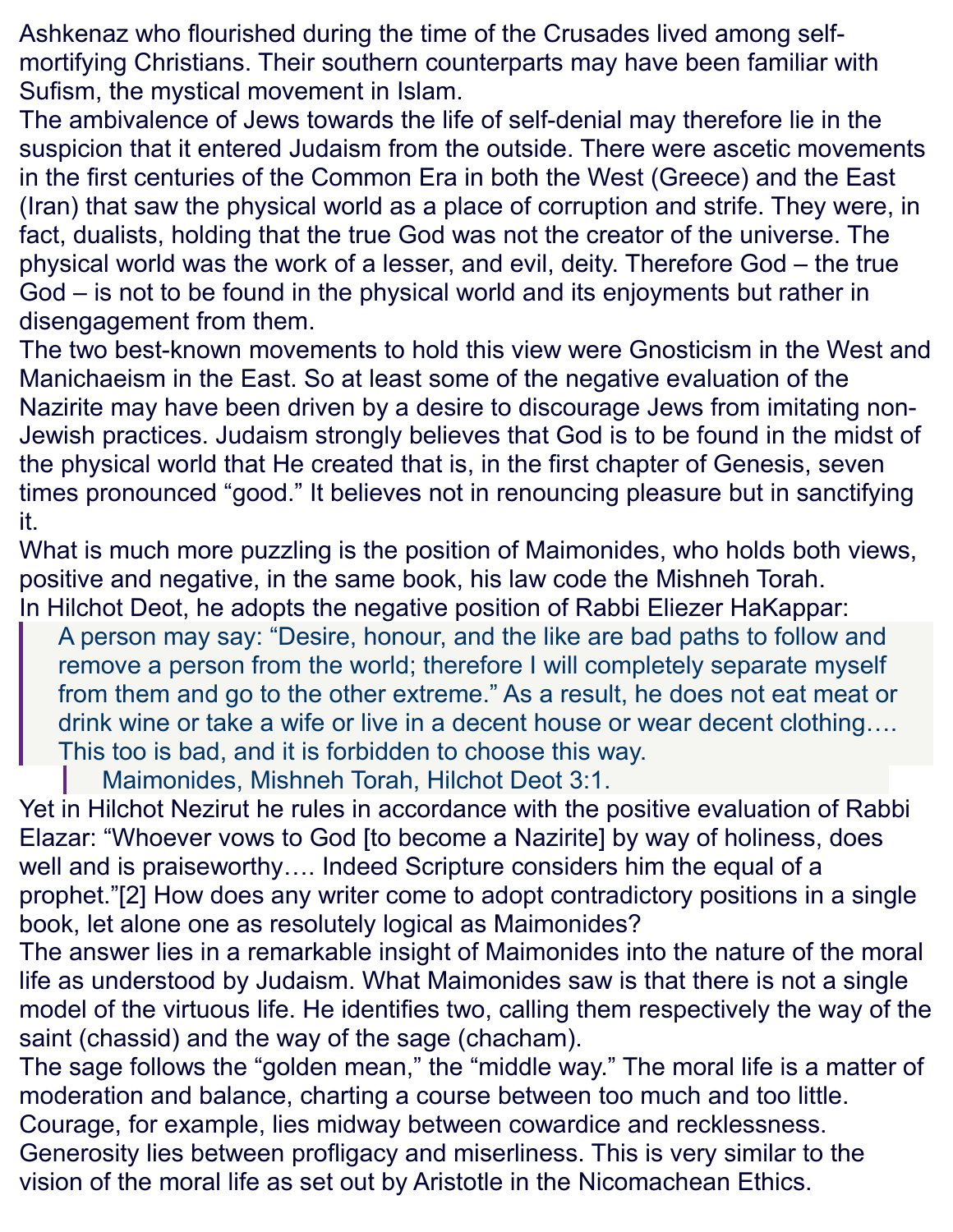Ashkenaz who flourished during the time of the Crusades lived among selfmortifying Christians. Their southern counterparts may have been familiar with Sufism, the mystical movement in Islam.

The ambivalence of Jews towards the life of self-denial may therefore lie in the suspicion that it entered Judaism from the outside. There were ascetic movements in the first centuries of the Common Era in both the West (Greece) and the East (Iran) that saw the physical world as a place of corruption and strife. They were, in fact, dualists, holding that the true God was not the creator of the universe. The physical world was the work of a lesser, and evil, deity. Therefore God – the true God – is not to be found in the physical world and its enjoyments but rather in disengagement from them.

The two best-known movements to hold this view were Gnosticism in the West and Manichaeism in the East. So at least some of the negative evaluation of the Nazirite may have been driven by a desire to discourage Jews from imitating non-Jewish practices. Judaism strongly believes that God is to be found in the midst of the physical world that He created that is, in the first chapter of Genesis, seven times pronounced "good." It believes not in renouncing pleasure but in sanctifying it.

What is much more puzzling is the position of Maimonides, who holds both views, positive and negative, in the same book, his law code the Mishneh Torah. In Hilchot Deot, he adopts the negative position of Rabbi Eliezer HaKappar:

A person may say: "Desire, honour, and the like are bad paths to follow and remove a person from the world; therefore I will completely separate myself from them and go to the other extreme." As a result, he does not eat meat or drink wine or take a wife or live in a decent house or wear decent clothing…. This too is bad, and it is forbidden to choose this way.

Maimonides, Mishneh Torah, Hilchot Deot 3:1.

Yet in Hilchot Nezirut he rules in accordance with the positive evaluation of Rabbi Elazar: "Whoever vows to God [to become a Nazirite] by way of holiness, does well and is praiseworthy…. Indeed Scripture considers him the equal of a prophet.["\[2\]](https://www.rabbisacks.org/covenant-conversation/naso/sages-and-saints/#_ftn2) How does any writer come to adopt contradictory positions in a single book, let alone one as resolutely logical as Maimonides?

The answer lies in a remarkable insight of Maimonides into the nature of the moral life as understood by Judaism. What Maimonides saw is that there is not a single model of the virtuous life. He identifies two, calling them respectively the way of the saint (chassid) and the way of the [sage \(chacham\).](https://www.rabbisacks.org/quotes/great-leaders/)

The sage follows the "golden mean," the "middle way." The moral life is a matter of moderation and balance, charting a course between too much and too little. Courage, for example, lies midway between cowardice and recklessness.

Generosity lies between profligacy and miserliness. This is very similar to the vision of the moral life as set out by Aristotle in the Nicomachean Ethics.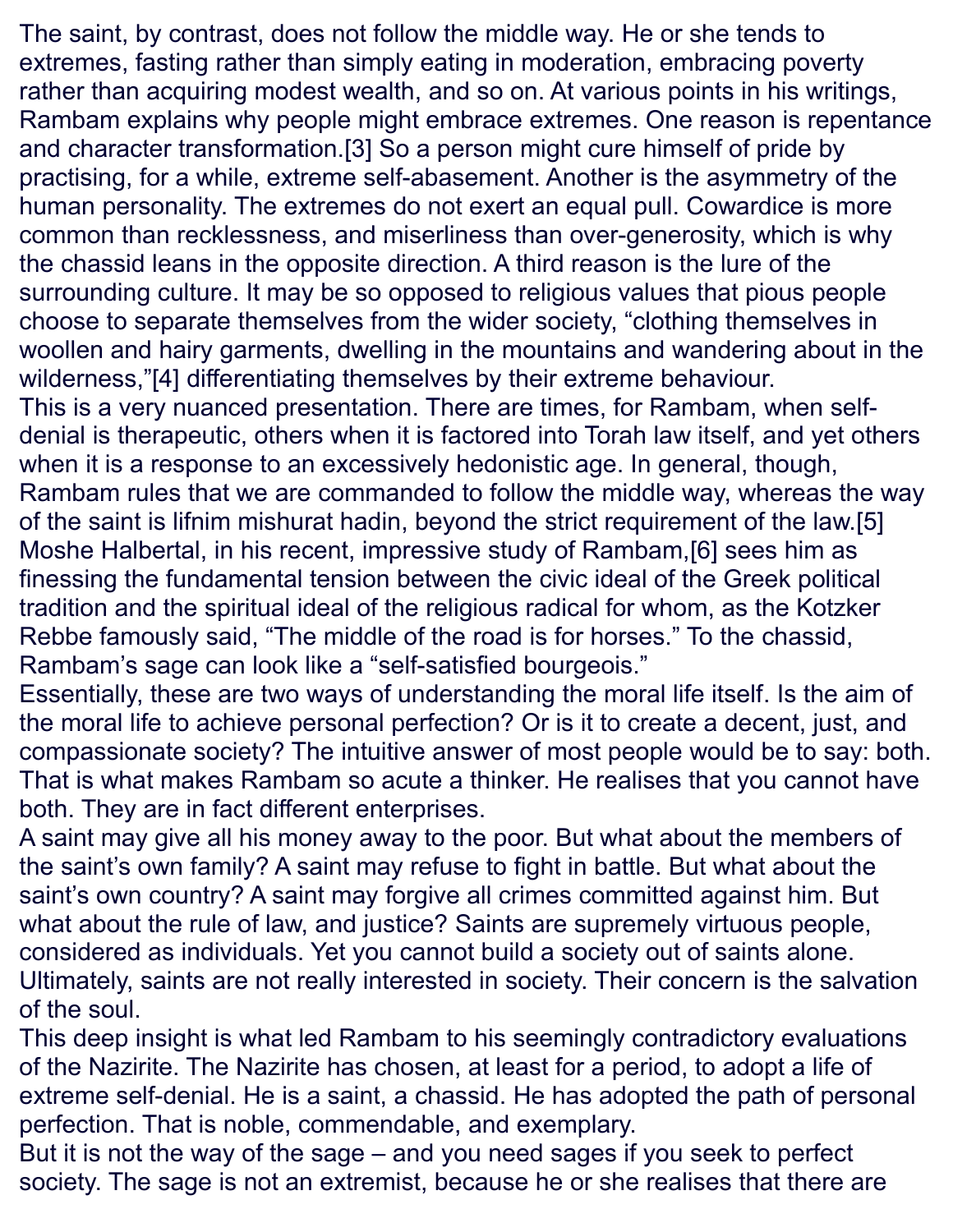The saint, by contrast, does not follow the middle way. He or she tends to extremes, fasting rather than simply eating in moderation, embracing poverty rather than acquiring modest wealth, and so on. At various points in his writings, Rambam explains why people might embrace extremes. One reason is repentance and character transformation[.\[3\]](https://www.rabbisacks.org/covenant-conversation/naso/sages-and-saints/#_ftn3) So a person might cure himself of pride by practising, for a while, extreme self-abasement. Another is the asymmetry of the human personality. The extremes do not exert an equal pull. Cowardice is more common than recklessness, and miserliness than over-generosity, which is why the chassid leans in the opposite direction. A third reason is the lure of the surrounding culture. It may be so opposed to religious values that pious people choose to separate themselves from the wider society, "clothing themselves in woollen and hairy garments, dwelling in the mountains and wandering about in the wilderness,["\[4\]](https://www.rabbisacks.org/covenant-conversation/naso/sages-and-saints/#_ftn4) differentiating themselves by their extreme behaviour. This is a very nuanced presentation. There are times, for Rambam, when selfdenial is therapeutic, others when it is factored into Torah law itself, and yet others when it is a response to an excessively hedonistic age. In general, though, Rambam rules that we are commanded to follow the middle way, whereas the way of the saint is lifnim mishurat hadin, beyond the strict requirement of the law[.\[5\]](https://www.rabbisacks.org/covenant-conversation/naso/sages-and-saints/#_ftn5) Moshe Halbertal, in his recent, impressive study of Rambam[,\[6\]](https://www.rabbisacks.org/covenant-conversation/naso/sages-and-saints/#_ftn6) sees him as finessing the fundamental tension between the civic ideal of the Greek political tradition and the spiritual ideal of the religious radical for whom, as the Kotzker Rebbe famously said, "The middle of the road is for horses." To the chassid, Rambam's sage can look like a "self-satisfied bourgeois."

Essentially, these are two ways of understanding the moral life itself. Is the aim of the moral life to achieve personal perfection? Or is it to create a decent, just, and compassionate society? The intuitive answer of most people would be to say: both. That is what makes Rambam so acute a thinker. He realises that you cannot have both. They are in fact different enterprises.

A saint may give all his money away to the poor. But what about the members of the saint's own family? A saint may refuse to fight in battle. But what about the saint's own country? A saint may forgive all crimes committed against him. But what about the rule of law, and justice? [Saints](https://www.rabbisacks.org/quotes/saintly-people/) are supremely virtuous people, considered as individuals. Yet you cannot build a society out of saints alone. Ultimately, saints are not really interested in society. Their concern is the salvation of the soul.

This deep insight is what led Rambam to his seemingly contradictory evaluations of the Nazirite. The Nazirite has chosen, at least for a period, to adopt a life of extreme self-denial. He is a saint, a chassid. He has adopted the path of personal perfection. That is noble, commendable, and exemplary.

But it is not the way of the sage – and you need sages if you seek to perfect society. The sage is not an extremist, because he or she realises that there are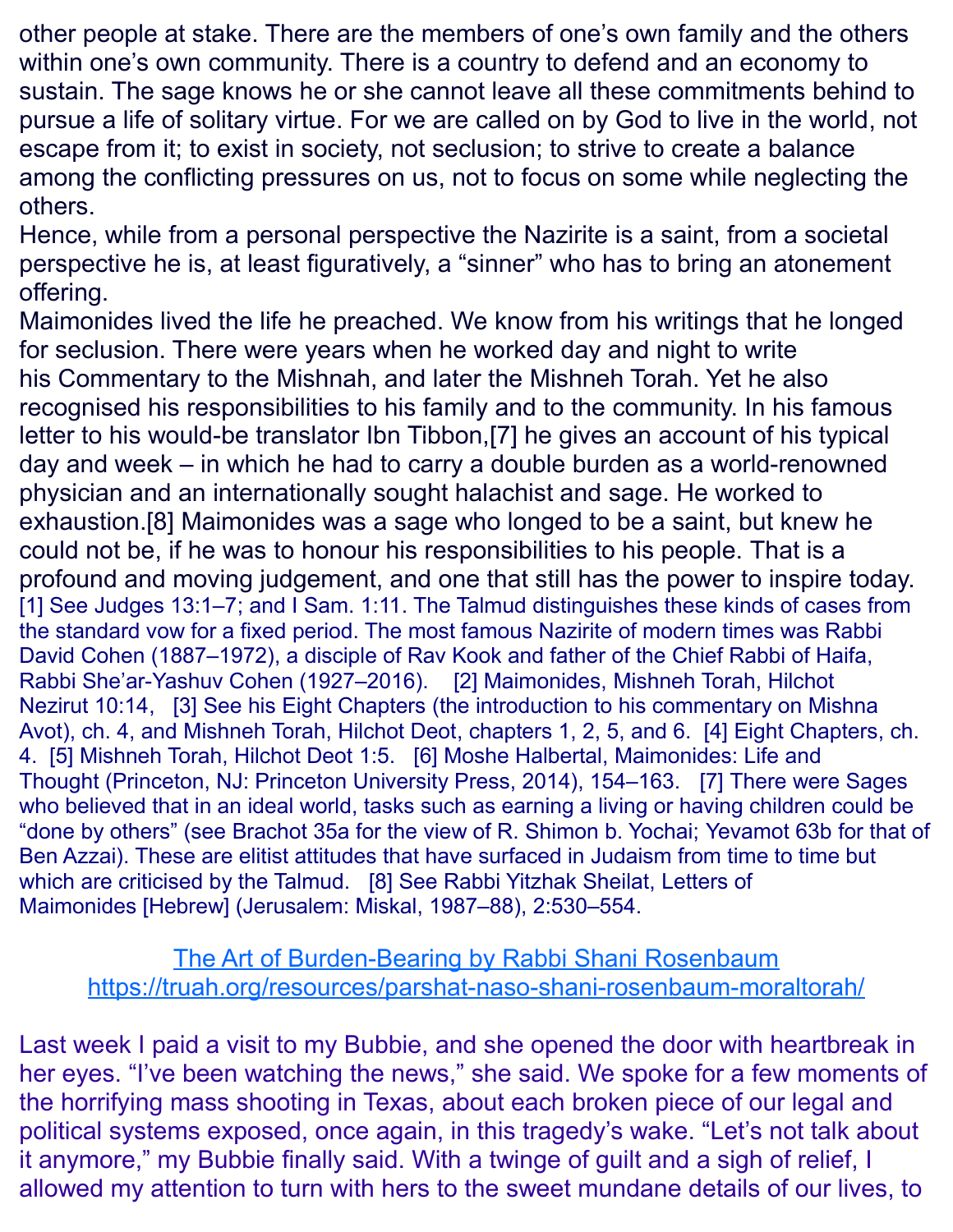other people at stake. There are the members of one's own family and the others within one's own community. There is a country to defend and an economy to sustain. The sage knows he or she cannot leave all these commitments behind to pursue a life of solitary virtue. [For we are called on by God to live in the world,](https://www.rabbisacks.org/quotes/religious-leaders/) not escape from it; to exist in society, not seclusion; to strive to create a balance among the conflicting pressures on us, not to focus on some while neglecting the others.

Hence, while from a personal perspective the Nazirite is a saint, from a societal perspective he is, at least figuratively, a "sinner" who has to bring an atonement offering.

Maimonides lived the life he preached. We know from his writings that he longed for seclusion. There were years when he worked day and night to write his Commentary to the Mishnah, and later the Mishneh Torah. Yet he also recognised his responsibilities to his family and to the community. In his famous letter to his would-be translator Ibn Tibbon[,\[7\]](https://www.rabbisacks.org/covenant-conversation/naso/sages-and-saints/#_ftn7) he gives an account of his typical day and week – in which he had to carry a double burden as a world-renowned physician and an internationally sought halachist and sage. He worked to exhaustion[.\[8\]](https://www.rabbisacks.org/covenant-conversation/naso/sages-and-saints/#_ftn8) Maimonides was a sage who longed to be a saint, but knew he could not be, if he was [to honour his responsibilities to his people.](https://www.rabbisacks.org/quotes/serving-as-leaders/) That is a profound and moving judgement, and one that still has the power to inspire today. [\[1\]](https://www.rabbisacks.org/covenant-conversation/naso/sages-and-saints/#_ftnref1) See [Judges 13:1–7;](https://www.sefaria.org/Judges.13.1-7?lang=he-en&utm_source=rabbisacks.org&utm_medium=sefaria_linker) and [I Sam. 1:11.](https://www.sefaria.org/I_Samuel.1.11?lang=he-en&utm_source=rabbisacks.org&utm_medium=sefaria_linker) The Talmud distinguishes these kinds of cases from the standard vow for a fixed period. The most famous Nazirite of modern times was Rabbi David Cohen (1887–1972), a disciple of Rav Kook and father of the Chief Rabbi of Haifa, Rabbi She'ar-Yashuv Cohen (1927–2016). [\[2\]](https://www.rabbisacks.org/covenant-conversation/naso/sages-and-saints/#_ftnref2) Maimonides, [Mishneh Torah,](https://www.sefaria.org/Mishneh_Torah,_Nazariteship.10.14?lang=he-en&utm_source=rabbisacks.org&utm_medium=sefaria_linker) [Hilchot](https://www.sefaria.org/Mishneh_Torah,_Nazariteship.10.14?lang=he-en&utm_source=rabbisacks.org&utm_medium=sefaria_linker)  [Nezirut](https://www.sefaria.org/Mishneh_Torah,_Nazariteship.10.14?lang=he-en&utm_source=rabbisacks.org&utm_medium=sefaria_linker) [10:14,](https://www.sefaria.org/Mishneh_Torah,_Nazariteship.10.14?lang=he-en&utm_source=rabbisacks.org&utm_medium=sefaria_linker) [\[3\]](https://www.rabbisacks.org/covenant-conversation/naso/sages-and-saints/#_ftnref3) See his Eight Chapters (the introduction to his commentary on Mishna Avot), ch. 4, and Mishneh Torah, Hilchot Deot, chapters 1, 2, 5, and 6. [\[4\]](https://www.rabbisacks.org/covenant-conversation/naso/sages-and-saints/#_ftnref4) Eight Chapters, ch. 4. [\[5\]](https://www.rabbisacks.org/covenant-conversation/naso/sages-and-saints/#_ftnref5) Mishneh Torah, Hilchot Deot 1:5. [\[6\]](https://www.rabbisacks.org/covenant-conversation/naso/sages-and-saints/#_ftnref6) Moshe Halbertal, Maimonides: Life and Thought (Princeton, NJ: Princeton University Press, 2014), 154–163. [\[7\]](https://www.rabbisacks.org/covenant-conversation/naso/sages-and-saints/#_ftnref7) There were Sages who believed that in an ideal world, tasks such as earning a living or having children could be "done by others" (see [Brachot 35a](https://www.sefaria.org/Berakhot.35a?lang=he-en&utm_source=rabbisacks.org&utm_medium=sefaria_linker) for the view of R. Shimon b. Yochai; [Yevamot 63b](https://www.sefaria.org/Yevamot.63b?lang=he-en&utm_source=rabbisacks.org&utm_medium=sefaria_linker) for that of Ben Azzai). These are elitist attitudes that have surfaced in Judaism from time to time but which are criticised by the Talmud. [\[8\]](https://www.rabbisacks.org/covenant-conversation/naso/sages-and-saints/#_ftnref8) See Rabbi Yitzhak Sheilat, Letters of Maimonides [Hebrew] (Jerusalem: Miskal, 1987–88), 2:530–554.

The Art of Burden-Bearing by Rabbi Shani Rosenbaum <https://truah.org/resources/parshat-naso-shani-rosenbaum-moraltorah/>

Last week I paid a visit to my Bubbie, and she opened the door with heartbreak in her eyes. "I've been watching the news," she said. We spoke for a few moments of the horrifying mass shooting in Texas, about each broken piece of our legal and political systems exposed, once again, in this tragedy's wake. "Let's not talk about it anymore," my Bubbie finally said. With a twinge of guilt and a sigh of relief, I allowed my attention to turn with hers to the sweet mundane details of our lives, to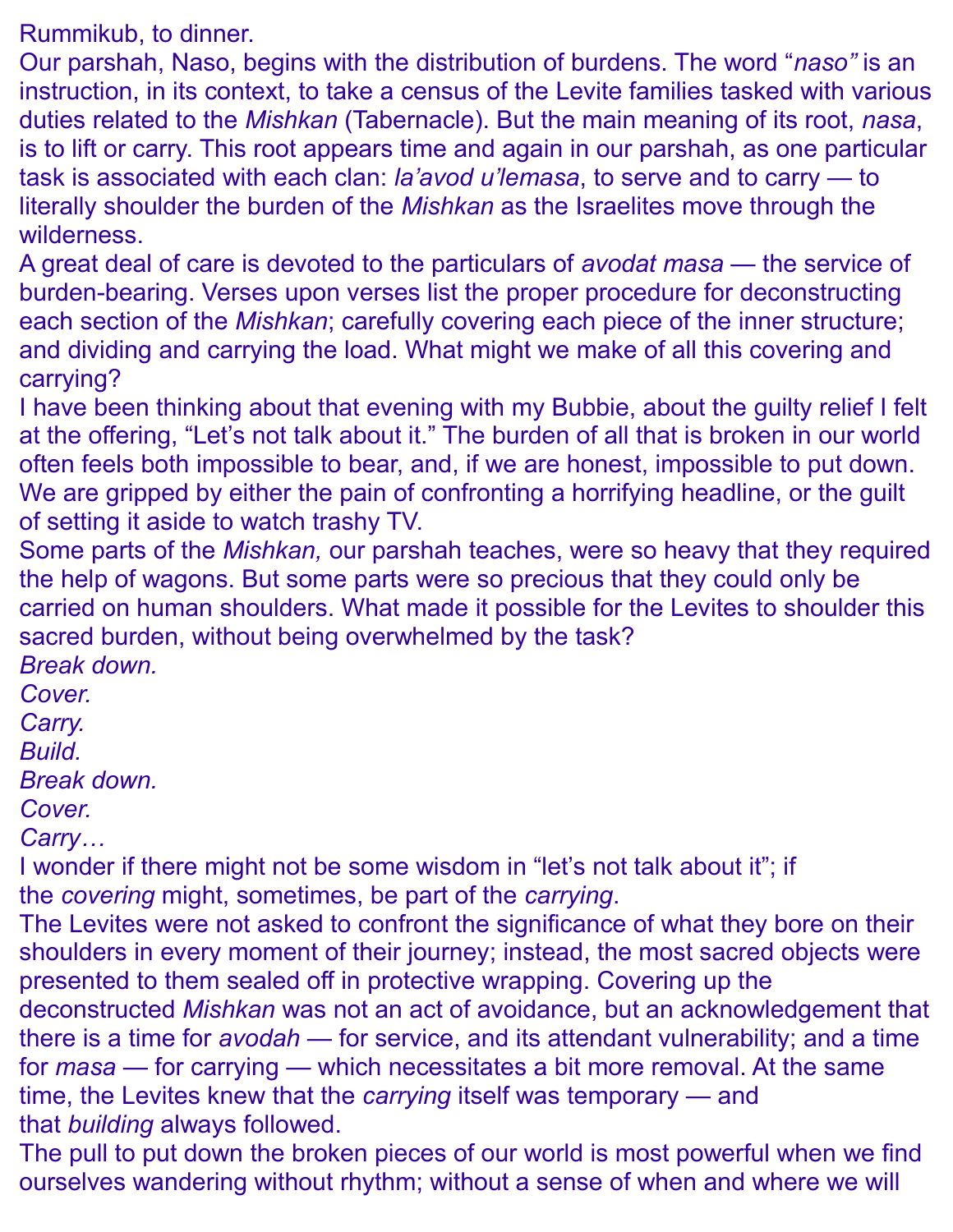Rummikub, to dinner.

Our parshah, Naso, begins with the distribution of burdens. The word "*naso"* is an instruction, in its context, to take a census of the Levite families tasked with various duties related to the *Mishkan* (Tabernacle). But the main meaning of its root, *nasa*, is to lift or carry. This root appears time and again in our parshah, as one particular task is associated with each clan: *la'avod u'lemasa*, to serve and to carry — to literally shoulder the burden of the *Mishkan* as the Israelites move through the wilderness.

A great deal of care is devoted to the particulars of *avodat masa* — the service of burden-bearing. Verses upon verses list the proper procedure for deconstructing each section of the *Mishkan*; carefully covering each piece of the inner structure; and dividing and carrying the load. What might we make of all this covering and carrying?

I have been thinking about that evening with my Bubbie, about the guilty relief I felt at the offering, "Let's not talk about it." The burden of all that is broken in our world often feels both impossible to bear, and, if we are honest, impossible to put down. We are gripped by either the pain of confronting a horrifying headline, or the guilt of setting it aside to watch trashy TV.

Some parts of the *Mishkan,* our parshah teaches, were so heavy that they required the help of wagons. But some parts were so precious that they could only be carried on human shoulders. What made it possible for the Levites to shoulder this sacred burden, without being overwhelmed by the task?

*Break down.*

*Cover.*

*Carry.*

*Build.*

*Break down.*

*Cover.*

*Carry…*

I wonder if there might not be some wisdom in "let's not talk about it"; if the *covering* might, sometimes, be part of the *carrying*.

The Levites were not asked to confront the significance of what they bore on their shoulders in every moment of their journey; instead, the most sacred objects were presented to them sealed off in protective wrapping. Covering up the deconstructed *Mishkan* was not an act of avoidance, but an acknowledgement that there is a time for *avodah* — for service, and its attendant vulnerability; and a time for *masa —* for carrying — which necessitates a bit more removal. At the same time, the Levites knew that the *carrying* itself was temporary — and that *building* always followed.

The pull to put down the broken pieces of our world is most powerful when we find ourselves wandering without rhythm; without a sense of when and where we will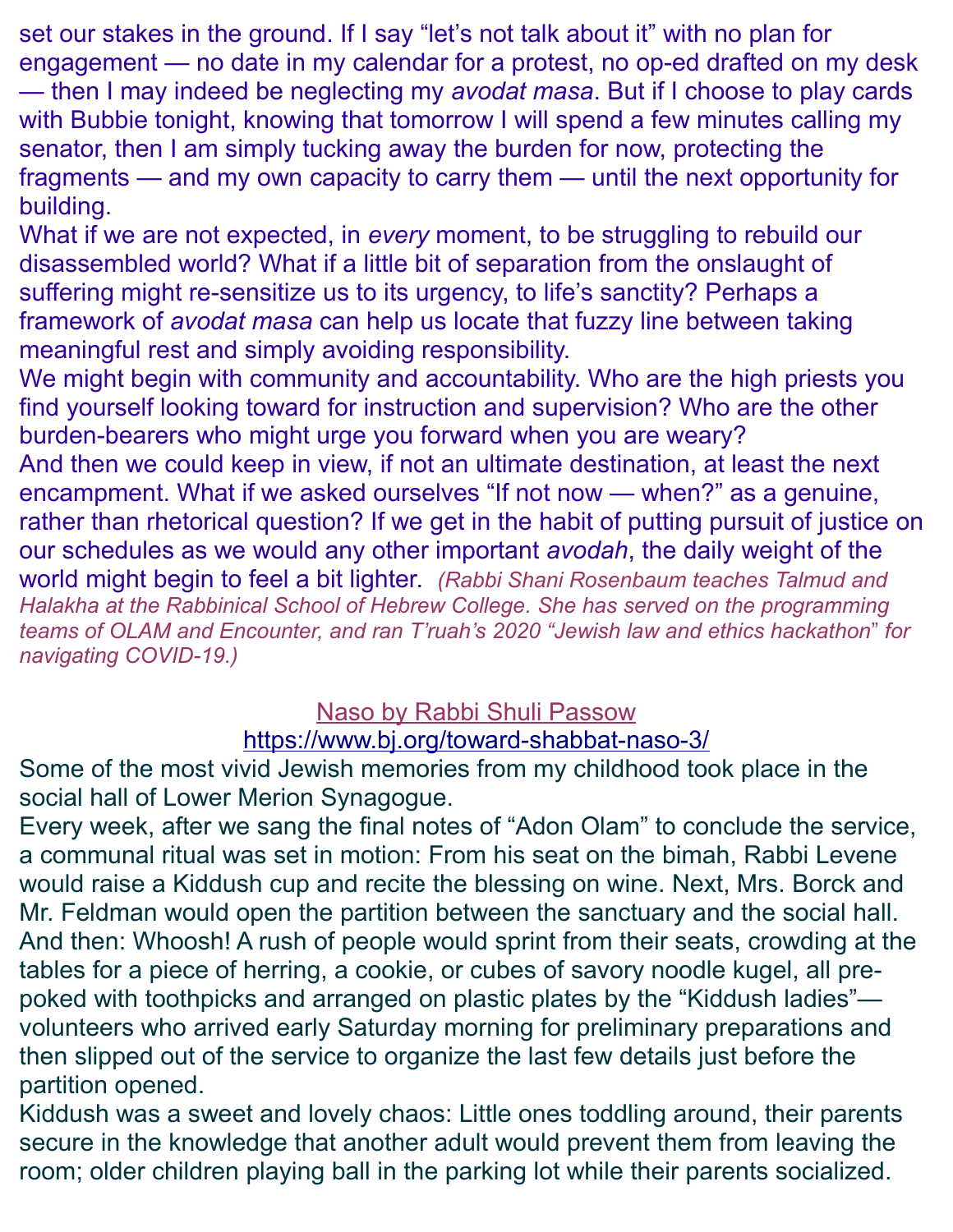set our stakes in the ground. If I say "let's not talk about it" with no plan for engagement — no date in my calendar for a protest, no op-ed drafted on my desk — then I may indeed be neglecting my *avodat masa*. But if I choose to play cards with Bubbie tonight, knowing that tomorrow I will spend a few minutes calling my senator, then I am simply tucking away the burden for now, protecting the fragments — and my own capacity to carry them — until the next opportunity for building.

What if we are not expected, in *every* moment, to be struggling to rebuild our disassembled world? What if a little bit of separation from the onslaught of suffering might re-sensitize us to its urgency, to life's sanctity? Perhaps a framework of *avodat masa* can help us locate that fuzzy line between taking meaningful rest and simply avoiding responsibility.

We might begin with community and accountability. Who are the high priests you find yourself looking toward for instruction and supervision? Who are the other burden-bearers who might urge you forward when you are weary? And then we could keep in view, if not an ultimate destination, at least the next encampment. What if we asked ourselves "If not now — when?" as a genuine, rather than rhetorical question? If we get in the habit of putting pursuit of justice on our schedules as we would any other important *avodah*, the daily weight of the world might begin to feel a bit lighter. *(Rabbi Shani Rosenbaum teaches Talmud and Halakha at the [Rabbinical School of Hebrew College.](https://hebrewcollege.edu/graduate-leadership-programs/become-a-rabbi/admissions/) She has served on the programming teams of [OLAM](http://olamtogether.org/) and [Encounter,](http://encounterprograms.org/) and ran T'ruah's 2020 ["Jewish law and ethics hackathon](https://truah.org/jewish-law-and-ethics-a-hackathon-for-the-age-of-covid-19/)*" *for navigating COVID-19.)*

# Naso by Rabbi Shuli Passow

#### <https://www.bj.org/toward-shabbat-naso-3/>

Some of the most vivid Jewish memories from my childhood took place in the social hall of Lower Merion Synagogue.

Every week, after we sang the final notes of "Adon Olam" to conclude the service, a communal ritual was set in motion: From his seat on the bimah, Rabbi Levene would raise a Kiddush cup and recite the blessing on wine. Next, Mrs. Borck and Mr. Feldman would open the partition between the sanctuary and the social hall. And then: Whoosh! A rush of people would sprint from their seats, crowding at the tables for a piece of herring, a cookie, or cubes of savory noodle kugel, all prepoked with toothpicks and arranged on plastic plates by the "Kiddush ladies" volunteers who arrived early Saturday morning for preliminary preparations and then slipped out of the service to organize the last few details just before the partition opened.

Kiddush was a sweet and lovely chaos: Little ones toddling around, their parents secure in the knowledge that another adult would prevent them from leaving the room; older children playing ball in the parking lot while their parents socialized.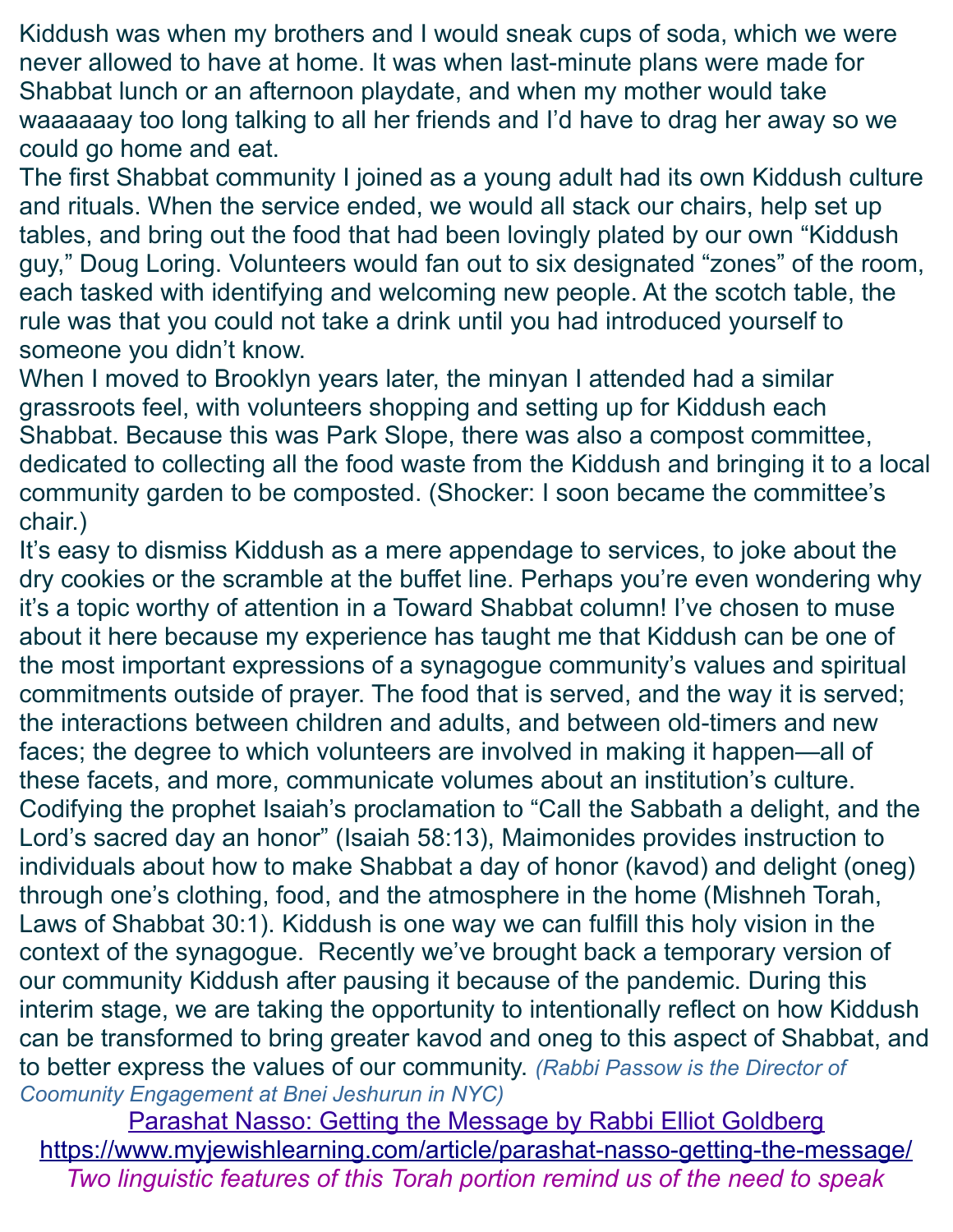Kiddush was when my brothers and I would sneak cups of soda, which we were never allowed to have at home. It was when last-minute plans were made for Shabbat lunch or an afternoon playdate, and when my mother would take waaaaaay too long talking to all her friends and I'd have to drag her away so we could go home and eat.

The first Shabbat community I joined as a young adult had its own Kiddush culture and rituals. When the service ended, we would all stack our chairs, help set up tables, and bring out the food that had been lovingly plated by our own "Kiddush guy," Doug Loring. Volunteers would fan out to six designated "zones" of the room, each tasked with identifying and welcoming new people. At the scotch table, the rule was that you could not take a drink until you had introduced yourself to someone you didn't know.

When I moved to Brooklyn years later, the minyan I attended had a similar grassroots feel, with volunteers shopping and setting up for Kiddush each Shabbat. Because this was Park Slope, there was also a compost committee, dedicated to collecting all the food waste from the Kiddush and bringing it to a local community garden to be composted. (Shocker: I soon became the committee's chair.)

It's easy to dismiss Kiddush as a mere appendage to services, to joke about the dry cookies or the scramble at the buffet line. Perhaps you're even wondering why it's a topic worthy of attention in a Toward Shabbat column! I've chosen to muse about it here because my experience has taught me that Kiddush can be one of the most important expressions of a synagogue community's values and spiritual commitments outside of prayer. The food that is served, and the way it is served; the interactions between children and adults, and between old-timers and new faces; the degree to which volunteers are involved in making it happen—all of these facets, and more, communicate volumes about an institution's culture. Codifying the prophet Isaiah's proclamation to "Call the Sabbath a delight, and the Lord's sacred day an honor" (Isaiah 58:13), Maimonides provides instruction to individuals about how to make Shabbat a day of honor (kavod) and delight (oneg) through one's clothing, food, and the atmosphere in the home (Mishneh Torah, Laws of Shabbat 30:1). Kiddush is one way we can fulfill this holy vision in the context of the synagogue. Recently we've brought back a temporary version of our community Kiddush after pausing it because of the pandemic. During this interim stage, we are taking the opportunity to intentionally reflect on how Kiddush can be transformed to bring greater kavod and oneg to this aspect of Shabbat, and to better express the values of our community. *(Rabbi Passow is the Director of Coomunity Engagement at Bnei Jeshurun in NYC)*

Parashat Nasso: Getting the Message by Rabbi Elliot Goldberg <https://www.myjewishlearning.com/article/parashat-nasso-getting-the-message/> *Two linguistic features of this Torah portion remind us of the need to speak*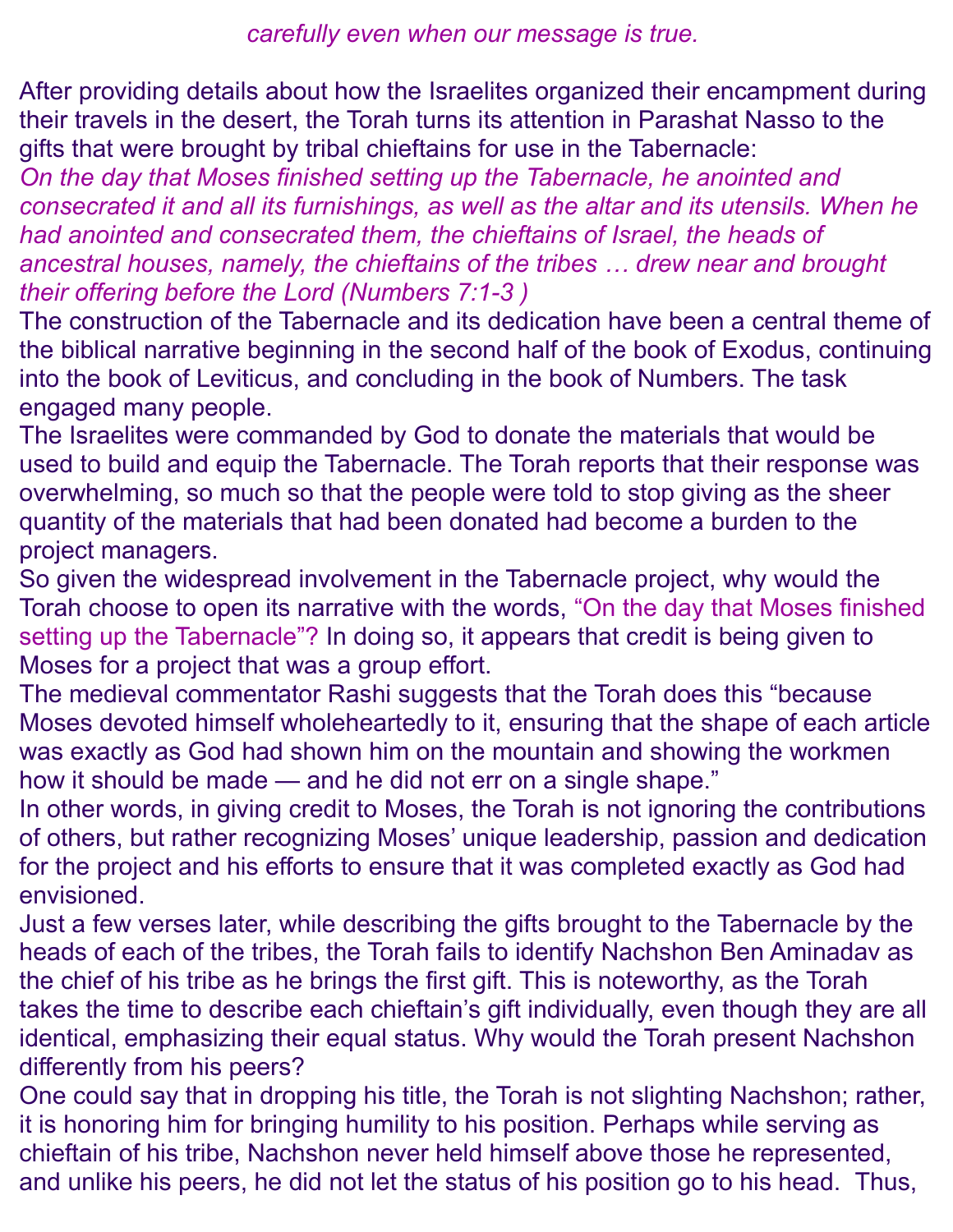After providing details about how the Israelites organized their encampment during their travels in the desert, the Torah turns its attention in Parashat Nasso to the gifts that were brought by tribal chieftains for use in the Tabernacle:

*On the day that Moses finished setting up the Tabernacle, he anointed and consecrated it and all its furnishings, as well as the altar and its utensils. When he had anointed and consecrated them, the chieftains of Israel, the heads of ancestral houses, namely, the chieftains of the tribes … drew near and brought their offering before the Lord [\(Numbers 7:1-3](https://www.sefaria.org/Numbers.7.1-3?lang=he-en&utm_source=myjewishlearning.com&utm_medium=sefaria_linker) )*

The construction of the Tabernacle and its dedication have been a central theme of the biblical narrative beginning in the second half of the book of Exodus, continuing into the book of Leviticus, and concluding in the book of Numbers. The task engaged many people.

The Israelites were commanded by God to donate the materials that would be used to build and equip the Tabernacle. The Torah reports that their response was overwhelming, so much so that the people were told to stop giving as the sheer quantity of the materials that had been donated had become a burden to the project managers.

So given the widespread involvement in the Tabernacle project, why would the Torah choose to open its narrative with the words, "On the day that Moses finished setting up the Tabernacle"? In doing so, it appears that credit is being given to Moses for a project that was a group effort.

The medieval commentator Rashi suggests that the Torah does this "because Moses devoted himself wholeheartedly to it, ensuring that the shape of each article was exactly as God had shown him on the mountain and showing the workmen how it should be made — and he did not err on a single shape."

In other words, in giving credit to Moses, the Torah is not ignoring the contributions of others, but rather recognizing Moses' unique leadership, passion and dedication for the project and his efforts to ensure that it was completed exactly as God had envisioned.

Just a few verses later, while describing the gifts brought to the Tabernacle by the heads of each of the tribes, the Torah fails to identify Nachshon Ben Aminadav as the chief of his tribe as he brings the first gift. This is noteworthy, as the Torah takes the time to describe each chieftain's gift individually, even though they are all identical, emphasizing their equal status. Why would the Torah present Nachshon differently from his peers?

One could say that in dropping his title, the Torah is not slighting Nachshon; rather, it is honoring him for bringing humility to his position. Perhaps while serving as chieftain of his tribe, Nachshon never held himself above those he represented, and unlike his peers, he did not let the status of his position go to his head. Thus,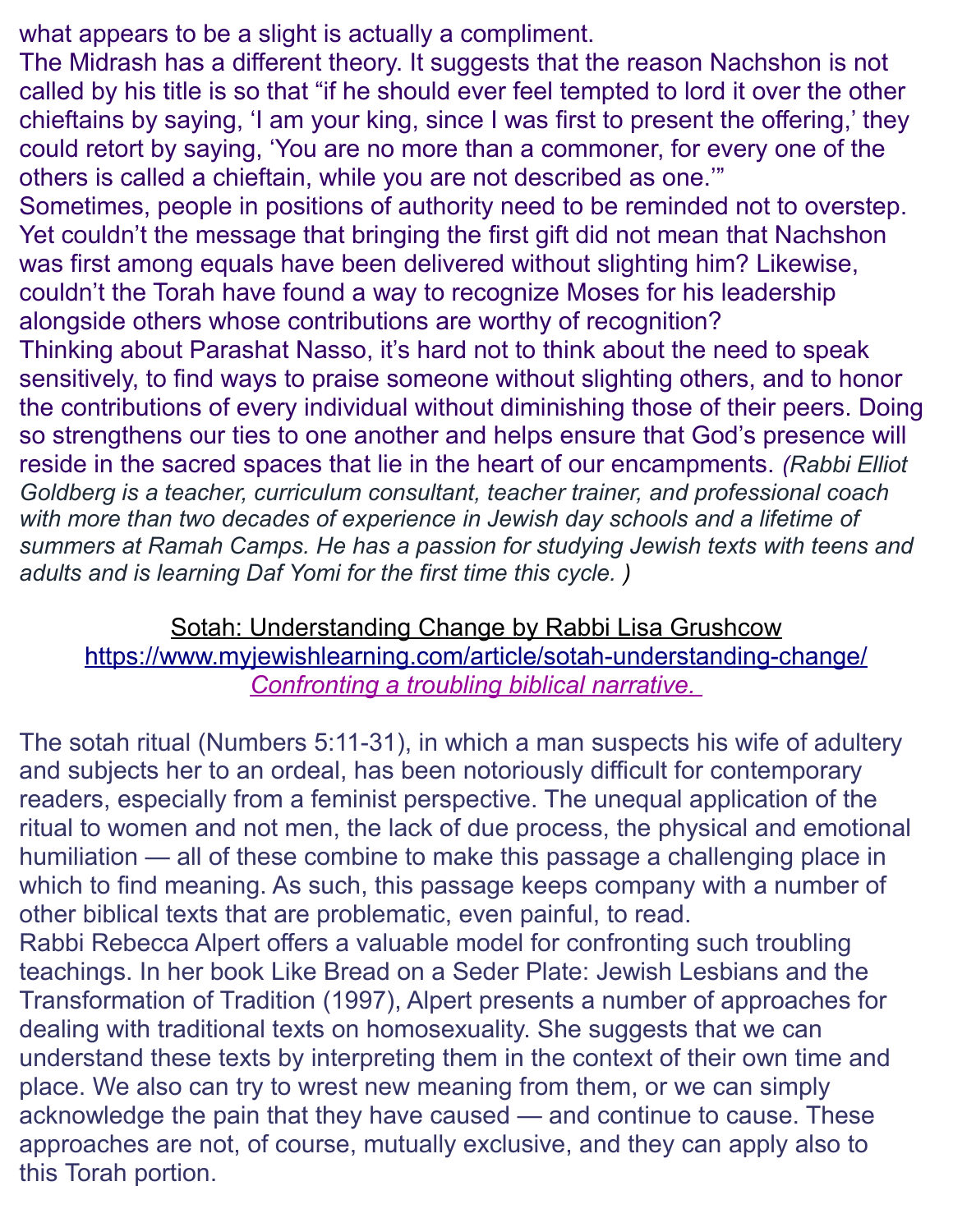what appears to be a slight is actually a compliment.

The Midrash has a different theory. It suggests that the reason Nachshon is not called by his title is so that "if he should ever feel tempted to lord it over the other chieftains by saying, 'I am your king, since I was first to present the offering,' they could retort by saying, 'You are no more than a commoner, for every one of the others is called a chieftain, while you are not described as one.'"

Sometimes, people in positions of authority need to be reminded not to overstep. Yet couldn't the message that bringing the first gift did not mean that Nachshon was first among equals have been delivered without slighting him? Likewise, couldn't the Torah have found a way to recognize Moses for his leadership alongside others whose contributions are worthy of recognition?

Thinking about Parashat Nasso, it's hard not to think about the need to speak sensitively, to find ways to praise someone without slighting others, and to honor the contributions of every individual without diminishing those of their peers. Doing so strengthens our ties to one another and helps ensure that God's presence will reside in the sacred spaces that lie in the heart of our encampments. *(Rabbi Elliot Goldberg is a teacher, curriculum consultant, teacher trainer, and professional coach with more than two decades of experience in Jewish day schools and a lifetime of summers at Ramah Camps. He has a passion for studying Jewish texts with teens and adults and is learning Daf Yomi for the first time this cycle. )*

Sotah: Understanding Change by Rabbi Lisa Grushcow <https://www.myjewishlearning.com/article/sotah-understanding-change/>  *Confronting a troubling biblical narrative.*

The sotah ritual (Numbers 5:11-31), in which a man suspects his wife of adultery and subjects her to an ordeal, has been notoriously difficult for contemporary readers, especially from a feminist perspective. The unequal application of the ritual to women and not men, the lack of due process, the physical and emotional humiliation — all of these combine to make this passage a challenging place in which to find meaning. As such, this passage keeps company with a number of other biblical texts that are problematic, even painful, to read.

Rabbi Rebecca Alpert offers a valuable model for confronting such troubling teachings. In her book Like Bread on a Seder Plate: Jewish Lesbians and the Transformation of Tradition (1997), Alpert presents a number of approaches for dealing with traditional texts on homosexuality. She suggests that we can understand these texts by interpreting them in the context of their own time and place. We also can try to wrest new meaning from them, or we can simply acknowledge the pain that they have caused — and continue to cause. These approaches are not, of course, mutually exclusive, and they can apply also to this Torah portion.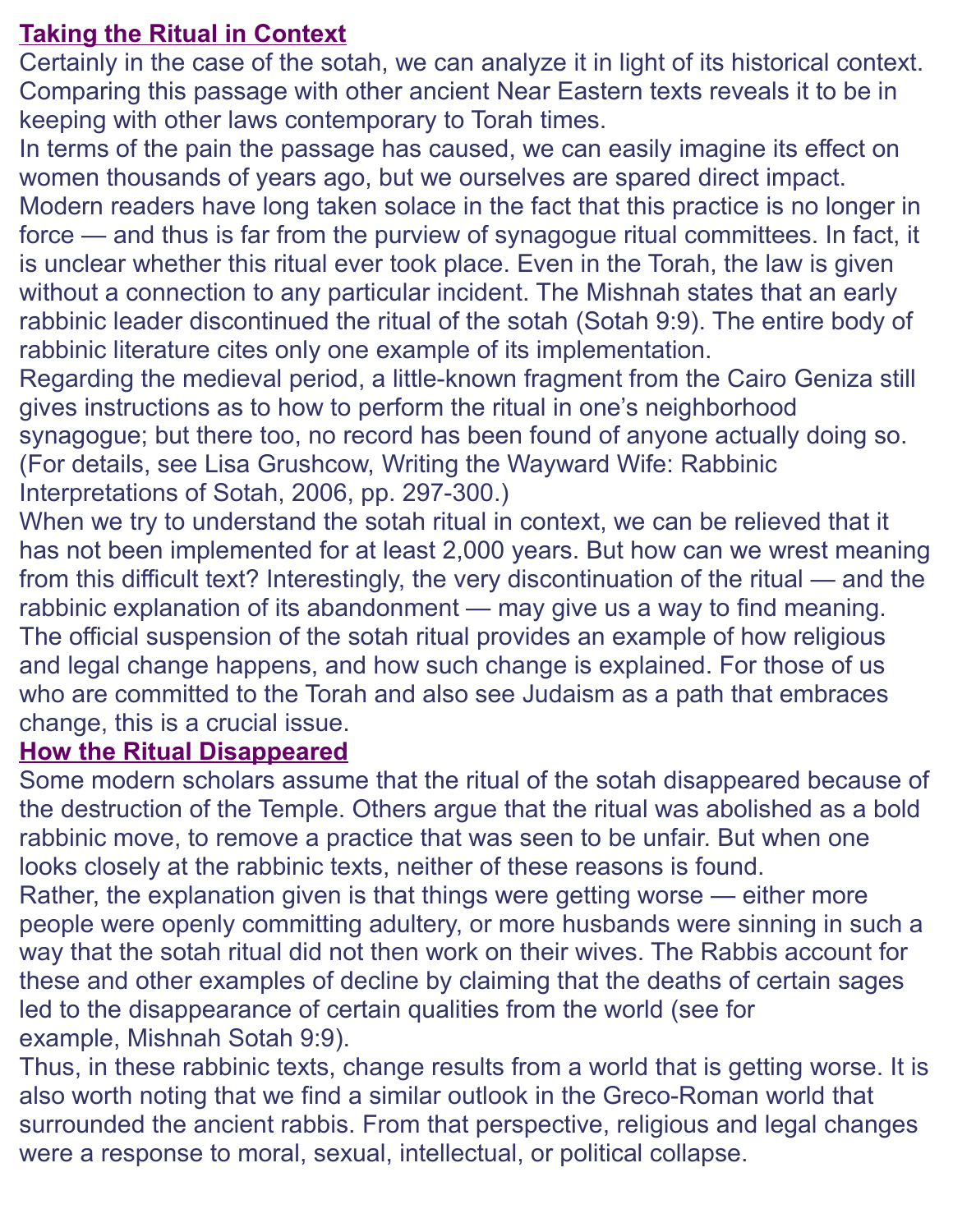## **Taking the Ritual in Context**

Certainly in the case of the sotah, we can analyze it in light of its historical context. Comparing this passage with other ancient Near Eastern texts reveals it to be in keeping with other laws contemporary to Torah times.

In terms of the pain the passage has caused, we can easily imagine its effect on women thousands of years ago, but we ourselves are spared direct impact.

Modern readers have long taken solace in the fact that this practice is no longer in force — and thus is far from the purview of synagogue ritual committees. In fact, it is unclear whether this ritual ever took place. Even in the Torah, the law is given without a connection to any particular incident. The Mishnah states that an early rabbinic leader discontinued the ritual of the sotah (Sotah 9:9). The entire body of rabbinic literature cites only one example of its implementation.

Regarding the medieval period, a little-known fragment from the Cairo Geniza still gives instructions as to how to perform the ritual in one's neighborhood synagogue; but there too, no record has been found of anyone actually doing so. (For details, see Lisa Grushcow, Writing the Wayward Wife: Rabbinic Interpretations of Sotah, 2006, pp. 297-300.)

When we try to understand the sotah ritual in context, we can be relieved that it has not been implemented for at least 2,000 years. But how can we wrest meaning from this difficult text? Interestingly, the very discontinuation of the ritual — and the rabbinic explanation of its abandonment — may give us a way to find meaning. The official suspension of the sotah ritual provides an example of how religious and legal change happens, and how such change is explained. For those of us who are committed to the Torah and also see Judaism as a path that embraces change, this is a crucial issue.

## **How the Ritual Disappeared**

Some modern scholars assume that the ritual of the sotah disappeared because of the destruction of the Temple. Others argue that the ritual was abolished as a bold rabbinic move, to remove a practice that was seen to be unfair. But when one looks closely at the rabbinic texts, neither of these reasons is found. Rather, the explanation given is that things were getting worse — either more people were openly committing adultery, or more husbands were sinning in such a way that the sotah ritual did not then work on their wives. The Rabbis account for these and other examples of decline by claiming that the deaths of certain sages led to the disappearance of certain qualities from the world (see for example, Mishnah Sotah 9:9).

Thus, in these rabbinic texts, change results from a world that is getting worse. It is also worth noting that we find a similar outlook in the Greco-Roman world that surrounded the ancient rabbis. From that perspective, religious and legal changes were a response to moral, sexual, intellectual, or political collapse.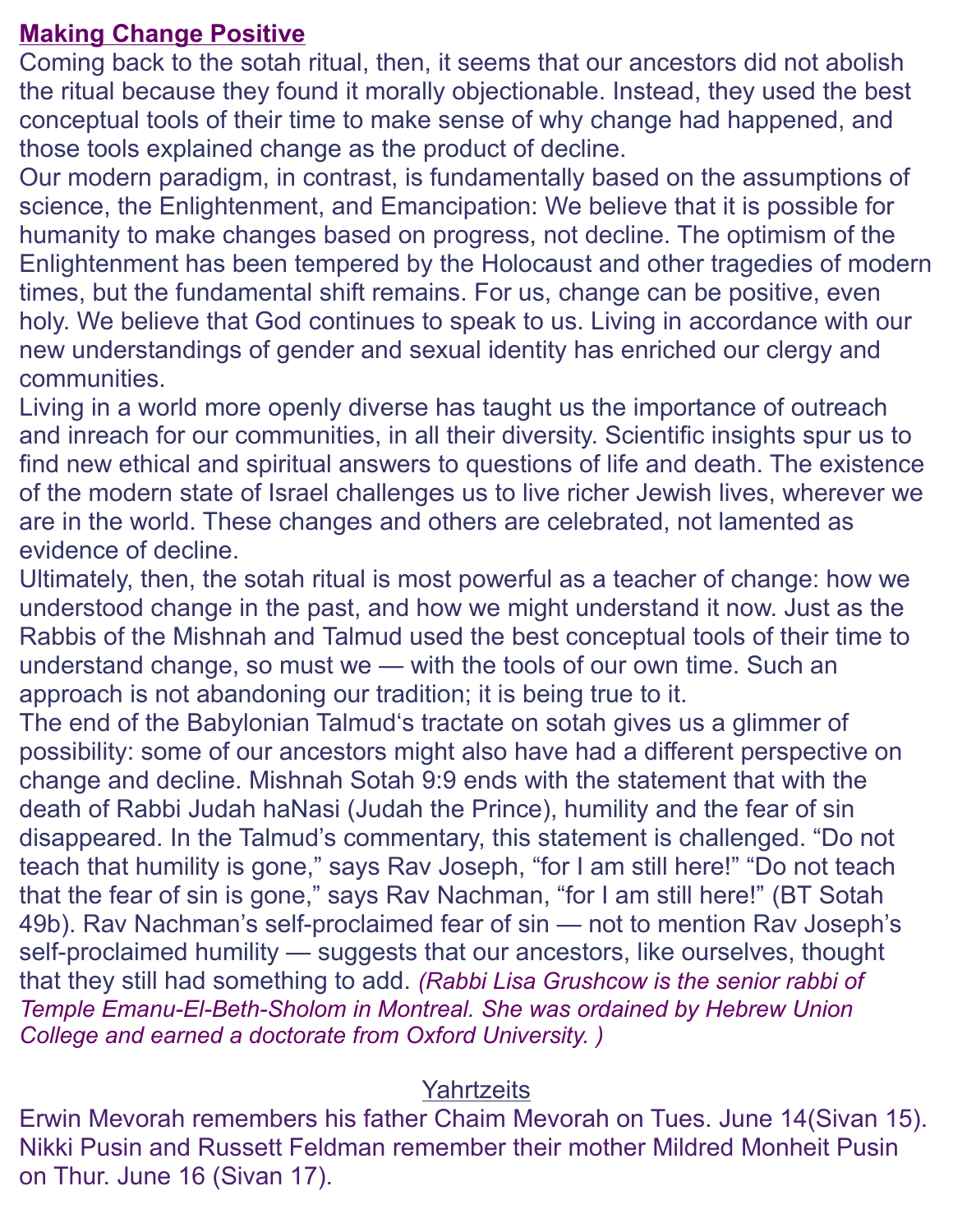#### **Making Change Positive**

Coming back to the sotah ritual, then, it seems that our ancestors did not abolish the ritual because they found it morally objectionable. Instead, they used the best conceptual tools of their time to make sense of why change had happened, and those tools explained change as the product of decline.

Our modern paradigm, in contrast, is fundamentally based on the assumptions of science, the Enlightenment, and Emancipation: We believe that it is possible for humanity to make changes based on progress, not decline. The optimism of the Enlightenment has been tempered by the Holocaust and other tragedies of modern times, but the fundamental shift remains. For us, change can be positive, even holy. We believe that God continues to speak to us. Living in accordance with our new understandings of gender and sexual identity has enriched our clergy and communities.

Living in a world more openly diverse has taught us the importance of outreach and inreach for our communities, in all their diversity. Scientific insights spur us to find new ethical and spiritual answers to questions of life and death. The existence of the modern state of Israel challenges us to live richer Jewish lives, wherever we are in the world. These changes and others are celebrated, not lamented as evidence of decline.

Ultimately, then, the sotah ritual is most powerful as a teacher of change: how we understood change in the past, and how we might understand it now. Just as the Rabbis of the Mishnah and Talmud used the best conceptual tools of their time to understand change, so must we — with the tools of our own time. Such an approach is not abandoning our tradition; it is being true to it.

The end of the Babylonian Talmud's tractate on sotah gives us a glimmer of possibility: some of our ancestors might also have had a different perspective on change and decline. Mishnah Sotah 9:9 ends with the statement that with the death of Rabbi Judah haNasi (Judah the Prince), humility and the fear of sin disappeared. In the Talmud's commentary, this statement is challenged. "Do not teach that humility is gone," says Rav Joseph, "for I am still here!" "Do not teach that the fear of sin is gone," says Rav Nachman, "for I am still here!" (BT Sotah 49b). Rav Nachman's self-proclaimed fear of sin — not to mention Rav Joseph's self-proclaimed humility — suggests that our ancestors, like ourselves, thought that they still had something to add. *(Rabbi Lisa Grushcow is the senior rabbi of Temple Emanu-El-Beth-Sholom in Montreal. She was ordained by Hebrew Union College and earned a doctorate from Oxford University. )*

## **Yahrtzeits**

Erwin Mevorah remembers his father Chaim Mevorah on Tues. June 14(Sivan 15). Nikki Pusin and Russett Feldman remember their mother Mildred Monheit Pusin on Thur. June 16 (Sivan 17).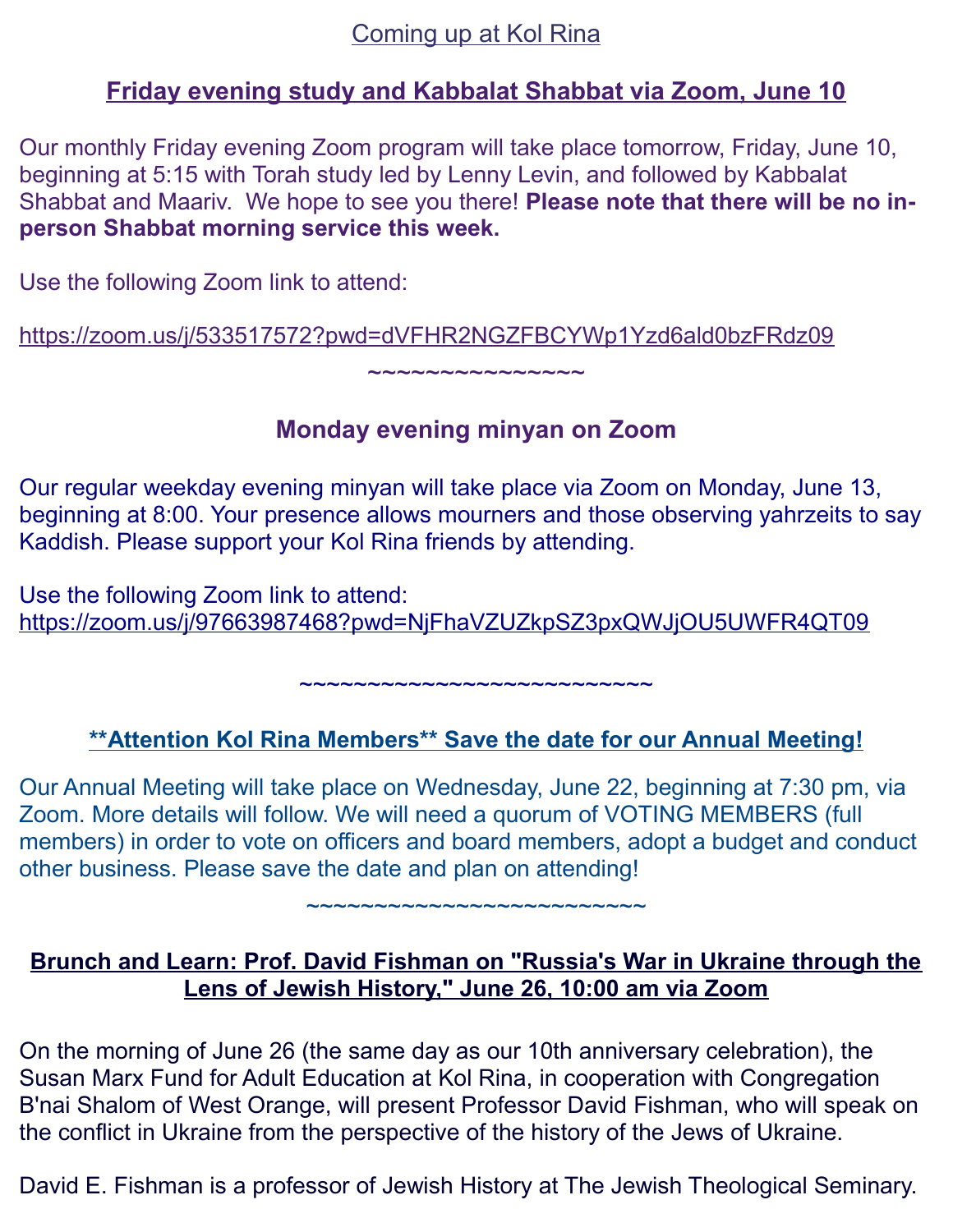## Coming up at Kol Rina

#### **Friday evening study and Kabbalat Shabbat via Zoom, June 10**

Our monthly Friday evening Zoom program will take place tomorrow, Friday, June 10, beginning at 5:15 with Torah study led by Lenny Levin, and followed by Kabbalat Shabbat and Maariv. We hope to see you there! **Please note that there will be no inperson Shabbat morning service this week.**

Use the following Zoom link to attend:

[https://zoom.us/j/533517572?pwd=dVFHR2NGZFBCYWp1Yzd6ald0bzFRdz09](https://kolrinanj.us4.list-manage.com/track/click?u=b95a0e01369548cb95242f047&id=069468aa9d&e=016893d235)

# **Monday evening minyan on Zoom**

 $\sim$ ~~~~~~~~~~~~

Our regular weekday evening minyan will take place via Zoom on Monday, June 13, beginning at 8:00. Your presence allows mourners and those observing yahrzeits to say Kaddish. Please support your Kol Rina friends by attending.

Use the following Zoom link to attend: [https://zoom.us/j/97663987468?pwd=NjFhaVZUZkpSZ3pxQWJjOU5UWFR4QT09](https://kolrinanj.us4.list-manage.com/track/click?u=b95a0e01369548cb95242f047&id=8a62ccde23&e=016893d235)

 **\*\*Attention Kol Rina Members\*\* Save the date for our Annual Meeting!**

~~~~~~~~~~~~~~~~~~~~~~~~~~

Our Annual Meeting will take place on Wednesday, June 22, beginning at 7:30 pm, via Zoom. More details will follow. We will need a quorum of VOTING MEMBERS (full members) in order to vote on officers and board members, adopt a budget and conduct other business. Please save the date and plan on attending!

#### **Brunch and Learn: Prof. David Fishman on "Russia's War in Ukraine through the Lens of Jewish History," June 26, 10:00 am via Zoom**

~~~~~~~~~~~~~~~~~~~~~~~~~

On the morning of June 26 (the same day as our 10th anniversary celebration), the Susan Marx Fund for Adult Education at Kol Rina, in cooperation with Congregation B'nai Shalom of West Orange, will present Professor David Fishman, who will speak on the conflict in Ukraine from the perspective of the history of the Jews of Ukraine.

David E. Fishman is a professor of Jewish History at The Jewish Theological Seminary.